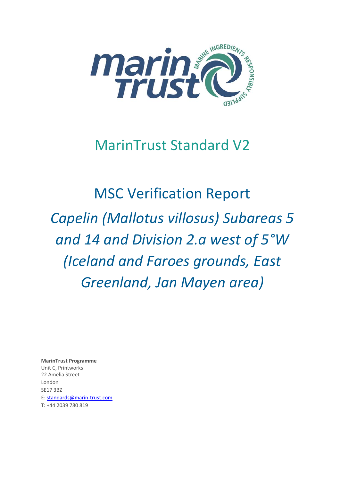

# MarinTrust Standard V2

MSC Verification Report *Capelin (Mallotus villosus) Subareas 5 and 14 and Division 2.a west of 5°W (Iceland and Faroes grounds, East Greenland, Jan Mayen area)*

**MarinTrust Programme** Unit C, Printworks 22 Amelia Street London SE17 3BZ E: standards@marin-trust.com T: +44 2039 780 819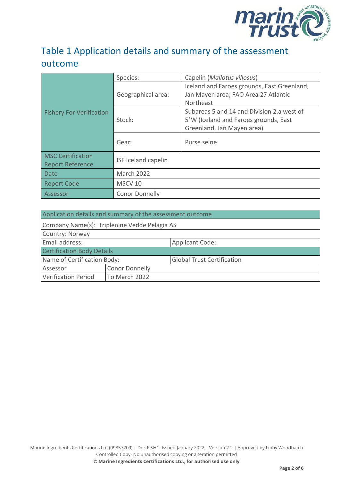

# Table 1 Application details and summary of the assessment outcome

|                                 | Species:              | Capelin (Mallotus villosus)                 |  |
|---------------------------------|-----------------------|---------------------------------------------|--|
|                                 |                       | Iceland and Faroes grounds, East Greenland, |  |
|                                 | Geographical area:    | Jan Mayen area; FAO Area 27 Atlantic        |  |
|                                 |                       | Northeast                                   |  |
| <b>Fishery For Verification</b> |                       | Subareas 5 and 14 and Division 2.a west of  |  |
|                                 | Stock:                | 5°W (Iceland and Faroes grounds, East       |  |
|                                 |                       | Greenland, Jan Mayen area)                  |  |
|                                 | Gear:                 | Purse seine                                 |  |
|                                 |                       |                                             |  |
| <b>MSC Certification</b>        |                       |                                             |  |
| <b>Report Reference</b>         | ISF Iceland capelin   |                                             |  |
| <b>Date</b>                     | <b>March 2022</b>     |                                             |  |
| <b>Report Code</b>              | MSCV <sub>10</sub>    |                                             |  |
| Assessor                        | <b>Conor Donnelly</b> |                                             |  |

| Application details and summary of the assessment outcome |                                              |                                   |
|-----------------------------------------------------------|----------------------------------------------|-----------------------------------|
|                                                           | Company Name(s): Triplenine Vedde Pelagia AS |                                   |
| Country: Norway                                           |                                              |                                   |
| Email address:                                            |                                              | <b>Applicant Code:</b>            |
| <b>Certification Body Details</b>                         |                                              |                                   |
| Name of Certification Body:                               |                                              | <b>Global Trust Certification</b> |
| Assessor                                                  | <b>Conor Donnelly</b>                        |                                   |
| <b>Verification Period</b>                                | To March 2022                                |                                   |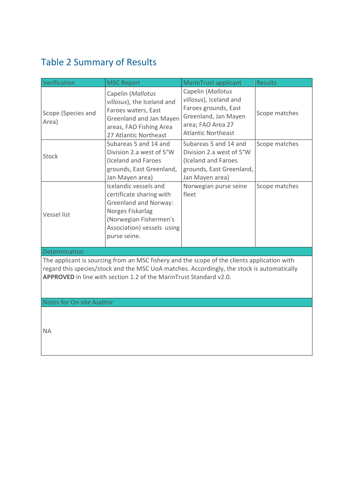# <span id="page-2-0"></span>Table 2 Summary of Results

| Verification                | <b>MSC Report</b>                                                                                                                                                             | MarinTrust applicant                                                                                                                          | <b>Results</b> |
|-----------------------------|-------------------------------------------------------------------------------------------------------------------------------------------------------------------------------|-----------------------------------------------------------------------------------------------------------------------------------------------|----------------|
| Scope (Species and<br>Area) | Capelin (Mallotus<br>villosus), the Iceland and<br>Faroes waters, East<br>Greenland and Jan Mayen<br>areas, FAO Fishing Area<br>27 Atlantic Northeast                         | Capelin (Mallotus<br>villosus), Iceland and<br>Faroes grounds, East<br>Greenland, Jan Mayen<br>area; FAO Area 27<br><b>Atlantic Northeast</b> | Scope matches  |
| <b>Stock</b>                | Subareas 5 and 14 and<br>Division 2.a west of 5°W<br>(Iceland and Faroes<br>grounds, East Greenland,<br>Jan Mayen area)                                                       | Subareas 5 and 14 and<br>Division 2.a west of 5°W<br>(Iceland and Faroes<br>grounds, East Greenland,<br>Jan Mayen area)                       | Scope matches  |
| Vessel list                 | Icelandic vessels and<br>certificate sharing with<br><b>Greenland and Norway:</b><br>Norges Fiskarlag<br>(Norwegian Fishermen's<br>Association) vessels using<br>purse seine. | Norwegian purse seine<br>fleet                                                                                                                | Scope matches  |

Determinat

The applicant is sourcing from an MSC fishery and the scope of the clients application with regard this species/stock and the MSC UoA matches. Accordingly, the stock is automatically **APPROVED** in line with section 1.2 of the MarinTrust Standard v2.0.

Notes for On-site Auditor

NA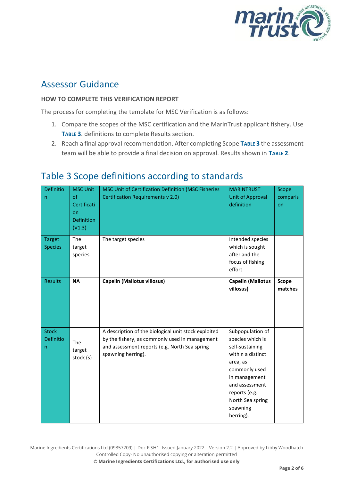

### Assessor Guidance

#### **HOW TO COMPLETE THIS VERIFICATION REPORT**

The process for completing the template for MSC Verification is as follows:

- 1. Compare the scopes of the MSC certification and the MarinTrust applicant fishery. Use **T[ABLE](#page-3-0) 3**. definitions to complete Results section.
- 2. Reach a final approval recommendation. After completing Scope **T[ABLE](#page-3-0) 3** the assessment team will be able to provide a final decision on approval. Results shown in **T[ABLE](#page-2-0) 2**.

| Definitio<br>n                  | <b>MSC Unit</b><br>of<br>Certificati<br>on<br><b>Definition</b><br>(V1.3) | MSC Unit of Certification Definition (MSC Fisheries<br><b>Certification Requirements v 2.0)</b>                                                                               | <b>MARINTRUST</b><br><b>Unit of Approval</b><br>definition                                                                                                                                                 | Scope<br>comparis<br>on |
|---------------------------------|---------------------------------------------------------------------------|-------------------------------------------------------------------------------------------------------------------------------------------------------------------------------|------------------------------------------------------------------------------------------------------------------------------------------------------------------------------------------------------------|-------------------------|
| <b>Target</b><br><b>Species</b> | The<br>target<br>species                                                  | The target species                                                                                                                                                            | Intended species<br>which is sought<br>after and the<br>focus of fishing<br>effort                                                                                                                         |                         |
| <b>Results</b>                  | <b>NA</b>                                                                 | <b>Capelin (Mallotus villosus)</b>                                                                                                                                            | <b>Capelin (Mallotus</b><br>villosus)                                                                                                                                                                      | Scope<br>matches        |
| <b>Stock</b><br>Definitio<br>n  | The<br>target<br>stock (s)                                                | A description of the biological unit stock exploited<br>by the fishery, as commonly used in management<br>and assessment reports (e.g. North Sea spring<br>spawning herring). | Subpopulation of<br>species which is<br>self-sustaining<br>within a distinct<br>area, as<br>commonly used<br>in management<br>and assessment<br>reports (e.g.<br>North Sea spring<br>spawning<br>herring). |                         |

#### <span id="page-3-0"></span>Table 3 Scope definitions according to standards

Marine Ingredients Certifications Ltd (09357209) | Doc FISH1- Issued January 2022 – Version 2.2 | Approved by Libby Woodhatch Controlled Copy- No unauthorised copying or alteration permitted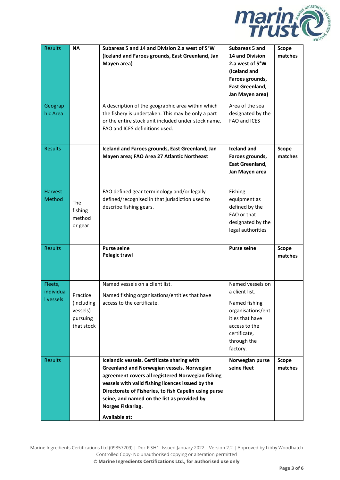

| <b>Results</b>                  | <b>NA</b>                                                    | Subareas 5 and 14 and Division 2.a west of 5°W<br>(Iceland and Faroes grounds, East Greenland, Jan<br>Mayen area)                                                                                                                                                                                                                                               | Subareas 5 and<br><b>14 and Division</b><br>2.a west of 5°W<br>(Iceland and<br>Faroes grounds,<br>East Greenland,<br>Jan Mayen area)                    | <b>Scope</b><br>matches |
|---------------------------------|--------------------------------------------------------------|-----------------------------------------------------------------------------------------------------------------------------------------------------------------------------------------------------------------------------------------------------------------------------------------------------------------------------------------------------------------|---------------------------------------------------------------------------------------------------------------------------------------------------------|-------------------------|
| Geograp<br>hic Area             |                                                              | A description of the geographic area within which<br>the fishery is undertaken. This may be only a part<br>or the entire stock unit included under stock name.<br>FAO and ICES definitions used.                                                                                                                                                                | Area of the sea<br>designated by the<br>FAO and ICES                                                                                                    |                         |
| <b>Results</b>                  |                                                              | Iceland and Faroes grounds, East Greenland, Jan<br>Mayen area; FAO Area 27 Atlantic Northeast                                                                                                                                                                                                                                                                   | <b>Iceland and</b><br>Faroes grounds,<br><b>East Greenland,</b><br>Jan Mayen area                                                                       | <b>Scope</b><br>matches |
| <b>Harvest</b><br>Method        | The<br>fishing<br>method<br>or gear                          | FAO defined gear terminology and/or legally<br>defined/recognised in that jurisdiction used to<br>describe fishing gears.                                                                                                                                                                                                                                       | Fishing<br>equipment as<br>defined by the<br>FAO or that<br>designated by the<br>legal authorities                                                      |                         |
| <b>Results</b>                  |                                                              | <b>Purse seine</b><br><b>Pelagic trawl</b>                                                                                                                                                                                                                                                                                                                      | <b>Purse seine</b>                                                                                                                                      | <b>Scope</b><br>matches |
| Fleets,<br>individua<br>vessels | Practice<br>(including<br>vessels)<br>pursuing<br>that stock | Named vessels on a client list.<br>Named fishing organisations/entities that have<br>access to the certificate.                                                                                                                                                                                                                                                 | Named vessels on<br>a client list.<br>Named fishing<br>organisations/ent<br>ities that have<br>access to the<br>certificate,<br>through the<br>factory. |                         |
| <b>Results</b>                  |                                                              | Icelandic vessels. Certificate sharing with<br><b>Greenland and Norwegian vessels. Norwegian</b><br>agreement covers all registered Norwegian fishing<br>vessels with valid fishing licences issued by the<br>Directorate of Fisheries, to fish Capelin using purse<br>seine, and named on the list as provided by<br>Norges Fiskarlag.<br><b>Available at:</b> | Norwegian purse<br>seine fleet                                                                                                                          | Scope<br>matches        |

Marine Ingredients Certifications Ltd (09357209) | Doc FISH1- Issued January 2022 – Version 2.2 | Approved by Libby Woodhatch Controlled Copy- No unauthorised copying or alteration permitted **© Marine Ingredients Certifications Ltd., for authorised use only**